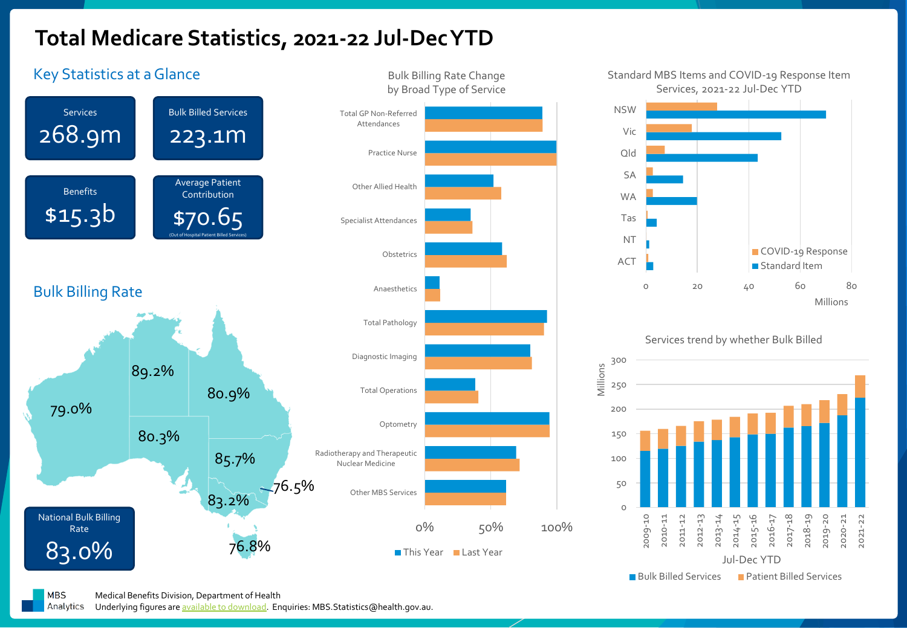## **Total Medicare Statistics, 2021-22 Jul-Dec YTD**







**MBS** Medical Benefits Division, Department of Health

Analytics Underlying figures are [available to download](https://www1.health.gov.au/internet/main/publishing.nsf/Content/Quarterly-Med-Stats-2). Enquiries: MBS. Statistics@health.gov.au.